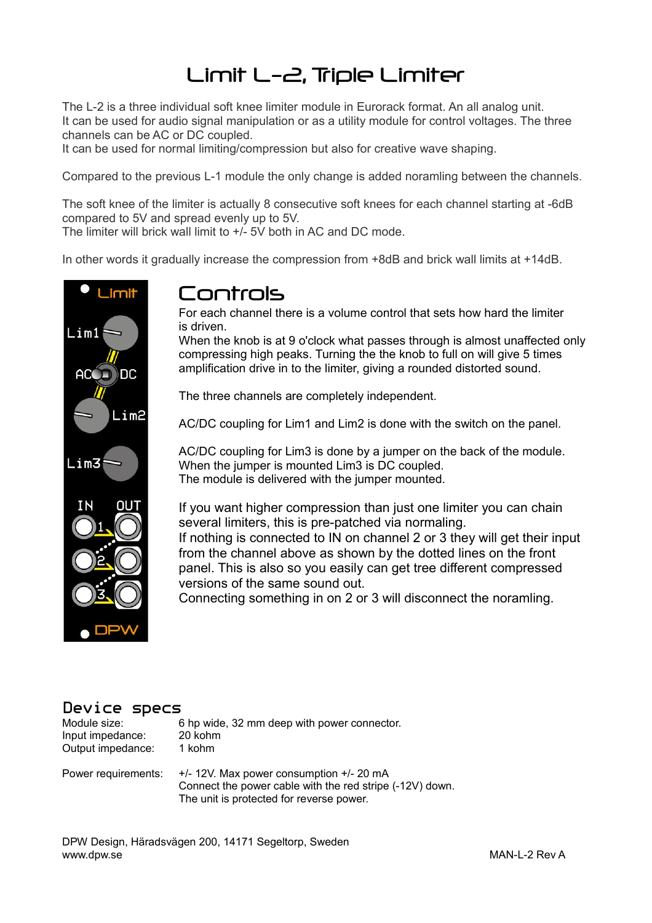# Limit L-2, Triple Limiter

The L-2 is a three individual soft knee limiter module in Eurorack format. An all analog unit. It can be used for audio signal manipulation or as a utility module for control voltages. The three channels can be AC or DC coupled.

It can be used for normal limiting/compression but also for creative wave shaping.

Compared to the previous L-1 module the only change is added noramling between the channels.

The soft knee of the limiter is actually 8 consecutive soft knees for each channel starting at -6dB compared to 5V and spread evenly up to 5V.

The limiter will brick wall limit to +/- 5V both in AC and DC mode.

In other words it gradually increase the compression from +8dB and brick wall limits at +14dB.



## Controls

For each channel there is a volume control that sets how hard the limiter is driven.

When the knob is at 9 o'clock what passes through is almost unaffected only compressing high peaks. Turning the the knob to full on will give 5 times amplification drive in to the limiter, giving a rounded distorted sound.

The three channels are completely independent.

AC/DC coupling for Lim1 and Lim2 is done with the switch on the panel.

AC/DC coupling for Lim3 is done by a jumper on the back of the module. When the jumper is mounted Lim3 is DC coupled. The module is delivered with the jumper mounted.

If you want higher compression than just one limiter you can chain several limiters, this is pre-patched via normaling. If nothing is connected to IN on channel 2 or 3 they will get their input from the channel above as shown by the dotted lines on the front panel. This is also so you easily can get tree different compressed versions of the same sound out.

Connecting something in on 2 or 3 will disconnect the noramling.

#### Device specs

| Module size:      | 6 hp wide, 32 mm deep with power connector. |
|-------------------|---------------------------------------------|
| Input impedance:  | 20 kohm                                     |
| Output impedance: | 1 kohm                                      |

Power requirements: +/- 12V. Max power consumption +/- 20 mA Connect the power cable with the red stripe (-12V) down. The unit is protected for reverse power.